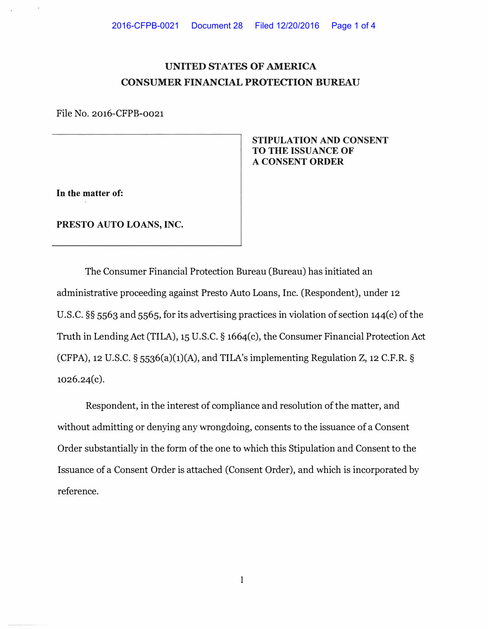## **UNITED STATES OF AMERICA CONSUMER FINANCIAL PROTECTION BUREAU**

File No. 2016-CFPB-0021

**In the matter of:** 

G

**PRESTO AUTO LOANS, INC.** 

**STIPULATION AND CONSENT TO THE ISSUANCE OF A CONSENT ORDER** 

The Consumer Financial Protection Bureau (Bureau) has initiated an administrative proceeding against Presto Auto Loans, Inc. (Respondent), under 12 U.S.C. **§§** 5563 and 5565, for its advertising practices in violation of section 144(c) of the Truth in Lending Act (TILA), 15 U.S.C. **§** 1664(c), the Consumer Financial Protection Act (CFPA), 12 U.S.C.  $\S$  5536(a)(1)(A), and TILA's implementing Regulation Z, 12 C.F.R.  $\S$ 1026.24(c).

Respondent, in the interest of compliance and resolution of the matter, and without admitting or denying any wrongdoing, consents to the issuance of a Consent Order substantially in the form of the one to which this Stipulation and Consent to the Issuance of a Consent Order is attached (Consent Order), and which is incorporated by reference.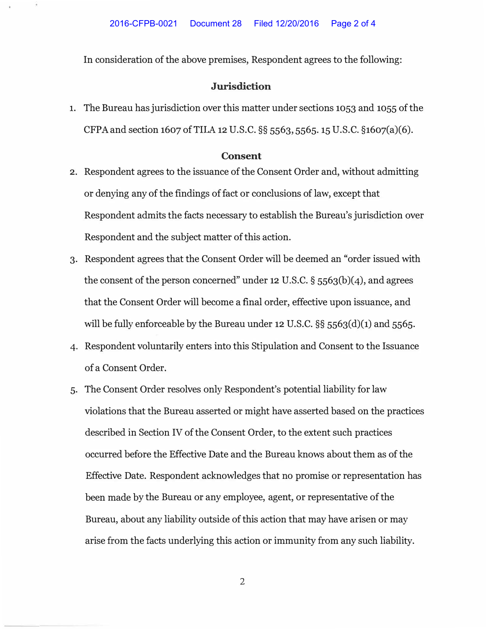G

In consideration of the above premises, Respondent agrees to the following:

## **Jurisdiction**

1. The Bureau has jurisdiction over this matter under sections 1053 and 1055 of the CFPA and section 1607 of TILA 12 U.S.C. §§ 5563, 5565. 15 U.S.C. §1607(a)(6).

## **Consent**

- 2. Respondent agrees to the issuance of the Consent Order and, without admitting or denying any of the findings of fact or conclusions of law, except that Respondent admits the facts necessary to establish the Bureau's jurisdiction over Respondent and the subject matter of this action.
- 3. Respondent agrees that the Consent Order will be deemed an "order issued with the consent of the person concerned" under 12 U.S.C. § 5563(b)(4), and agrees that the Consent Order will become a final order, effective upon issuance, and will be fully enforceable by the Bureau under 12 U.S.C. §§ 5563(d)(1) and 5565.
- 4. Respondent voluntarily enters into this Stipulation and Consent to the Issuance of a Consent Order.
- 5. The Consent Order resolves only Respondent's potential liability for law violations that the Bureau asserted or might have asserted based on the practices described in Section IV of the Consent Order, to the extent such practices occurred before the Effective Date and the Bureau knows about them as of the Effective Date. Respondent acknowledges that no promise or representation has been made by the Bureau or any employee, agent, or representative of the Bureau, about any liability outside of this action that may have arisen or may arise from the facts underlying this action or immunity from any such liability.

2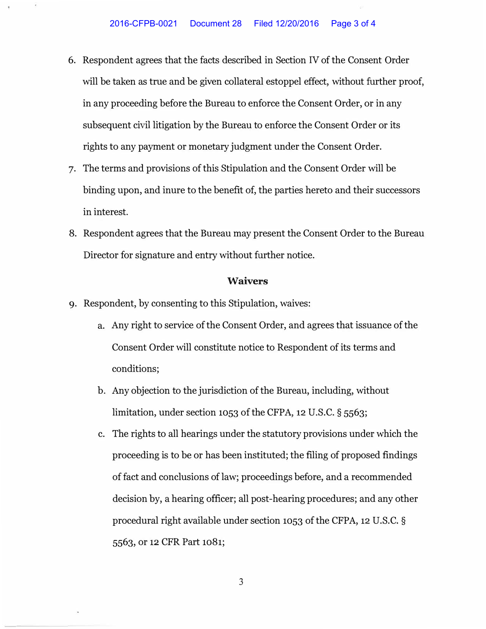- 6. Respondent agrees that the facts described in Section IV of the Consent Order will be taken as true and be given collateral estoppel effect, without further proof, in any proceeding before the Bureau to enforce the Consent Order, or in any subsequent civil litigation by the Bureau to enforce the Consent Order or its rights to any payment or monetary judgment under the Consent Order.
- 7. The terms and provisions of this Stipulation and the Consent Order will be binding upon, and inure to the benefit of, the parties hereto and their successors in interest.
- 8. Respondent agrees that the Bureau may present the Consent Order to the Bureau Director for signature and entry without further notice.

## **Waivers**

- 9. Respondent, by consenting to this Stipulation, waives:
	- a. Any right to service of the Consent Order, and agrees that issuance of the Consent Order will constitute notice to Respondent of its terms and conditions;
	- b. Any objection to the jurisdiction of the Bureau, including, without limitation, under section 1053 of the CFPA, 12 U.S.C. § 5563;
	- c. The rights to all hearings under the statutory provisions under which the proceeding is to be or has been instituted; the filing of proposed findings of fact and conclusions of law; proceedings before, and a recommended decision by, a hearing officer; all post-hearing procedures; and any other procedural right available under section 1053 of the CFPA, 12 U.S.C. § 5563, or 12 CFR Part 1081;